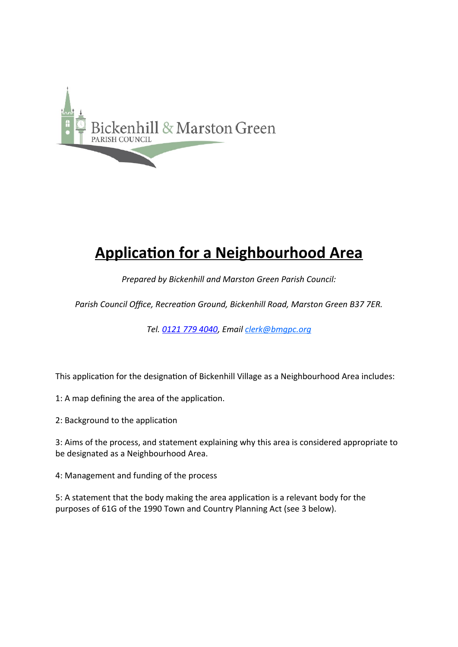

# **Application for a Neighbourhood Area**

*Prepared by Bickenhill and Marston Green Parish Council:*

*Parish Council Office, Recreation Ground, Bickenhill Road, Marston Green B37 7ER.*

*Tel. [0121 779 4040](tel:01217794040), Email [clerk@bmgpc.org](mailto:clerk@bmgpc.org)*

This application for the designation of Bickenhill Village as a Neighbourhood Area includes:

1: A map defining the area of the application.

2: Background to the application

3: Aims of the process, and statement explaining why this area is considered appropriate to be designated as a Neighbourhood Area.

4: Management and funding of the process

5: A statement that the body making the area application is a relevant body for the purposes of 61G of the 1990 Town and Country Planning Act (see 3 below).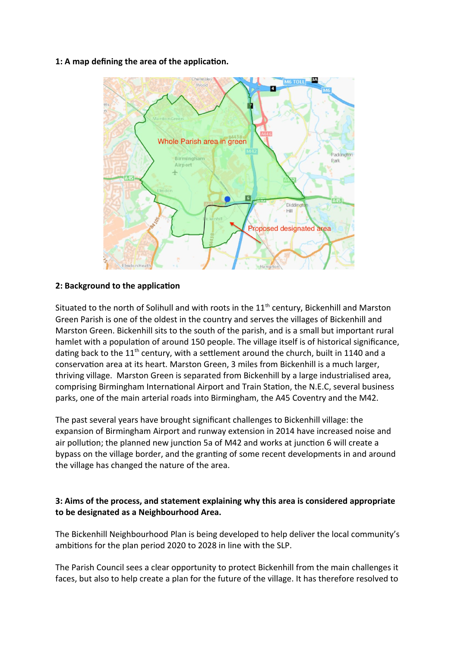#### **1: A map defining the area of the application.**



### **2: Background to the application**

Situated to the north of Solihull and with roots in the  $11<sup>th</sup>$  century, Bickenhill and Marston Green Parish is one of the oldest in the country and serves the villages of Bickenhill and Marston Green. Bickenhill sits to the south of the parish, and is a small but important rural hamlet with a population of around 150 people. The village itself is of historical significance, dating back to the  $11<sup>th</sup>$  century, with a settlement around the church, built in 1140 and a conservation area at its heart. Marston Green, 3 miles from Bickenhill is a much larger, thriving village. Marston Green is separated from Bickenhill by a large industrialised area, comprising Birmingham International Airport and Train Station, the N.E.C, several business parks, one of the main arterial roads into Birmingham, the A45 Coventry and the M42.

The past several years have brought significant challenges to Bickenhill village: the expansion of Birmingham Airport and runway extension in 2014 have increased noise and air pollution; the planned new junction 5a of M42 and works at junction 6 will create a bypass on the village border, and the granting of some recent developments in and around the village has changed the nature of the area.

## **3: Aims of the process, and statement explaining why this area is considered appropriate to be designated as a Neighbourhood Area.**

The Bickenhill Neighbourhood Plan is being developed to help deliver the local community's ambitions for the plan period 2020 to 2028 in line with the SLP.

The Parish Council sees a clear opportunity to protect Bickenhill from the main challenges it faces, but also to help create a plan for the future of the village. It has therefore resolved to